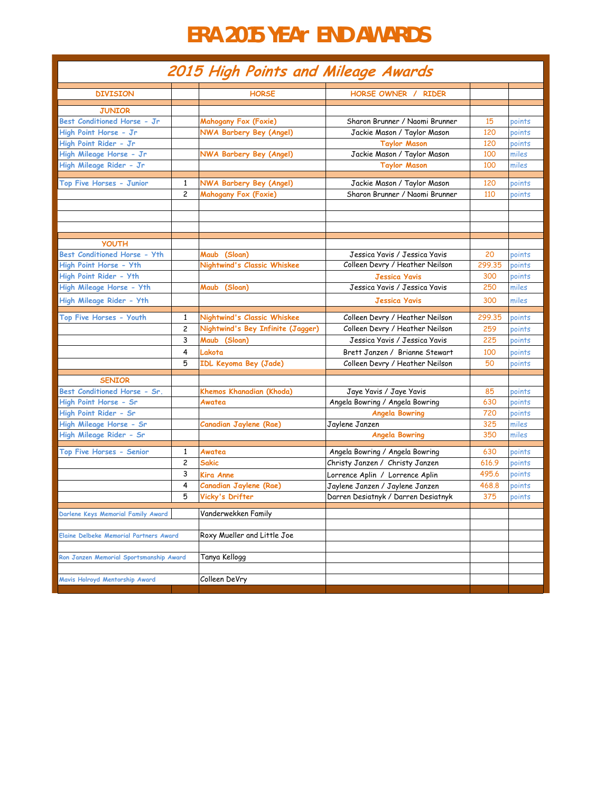## **ERA 2015 YEAr END AWARDS**

| 2015 High Points and Mileage Awards     |                     |                                    |                                                               |        |        |
|-----------------------------------------|---------------------|------------------------------------|---------------------------------------------------------------|--------|--------|
| <b>DIVISION</b>                         |                     | <b>HORSE</b>                       | <b>HORSE OWNER / RIDER</b>                                    |        |        |
| <b>JUNIOR</b>                           |                     |                                    |                                                               |        |        |
| Best Conditioned Horse - Jr             |                     | Mahogany Fox (Foxie)               | Sharon Brunner / Naomi Brunner                                | 15     | points |
| High Point Horse - Jr                   |                     | <b>NWA Barbery Bey (Angel)</b>     | Jackie Mason / Taylor Mason                                   | 120    | points |
| High Point Rider - Jr                   |                     |                                    | <b>Taylor Mason</b>                                           | 120    | points |
| High Mileage Horse - Jr                 |                     | <b>NWA Barbery Bey (Angel)</b>     | Jackie Mason / Taylor Mason                                   | 100    | miles  |
| High Mileage Rider - Jr                 |                     |                                    | <b>Taylor Mason</b>                                           | 100    | miles  |
|                                         |                     |                                    |                                                               |        |        |
| Top Five Horses - Junior                | 1<br>$\overline{c}$ | NWA Barbery Bey (Angel)            | Jackie Mason / Taylor Mason<br>Sharon Brunner / Naomi Brunner | 120    | points |
|                                         |                     | <b>Mahogany Fox (Foxie)</b>        |                                                               | 110    | points |
|                                         |                     |                                    |                                                               |        |        |
|                                         |                     |                                    |                                                               |        |        |
|                                         |                     |                                    |                                                               |        |        |
| <b>YOUTH</b>                            |                     |                                    |                                                               |        |        |
| <b>Best Conditioned Horse - Yth</b>     |                     | Maub (Sloan)                       | Jessica Yavis / Jessica Yavis                                 | 20     | points |
| High Point Horse - Yth                  |                     | <b>Nightwind's Classic Whiskee</b> | Colleen Devry / Heather Neilson                               | 299.35 | points |
| High Point Rider - Yth                  |                     |                                    | <b>Jessica Yavis</b>                                          | 300    | points |
| High Mileage Horse - Yth                |                     | (Sloan)<br>Maub                    | Jessica Yavis / Jessica Yavis                                 | 250    | miles  |
| High Mileage Rider - Yth                |                     |                                    | <b>Jessica Yavis</b>                                          | 300    | miles  |
| Top Five Horses - Youth                 | 1                   | Nightwind's Classic Whiskee        | Colleen Devry / Heather Neilson                               | 299.35 | points |
|                                         | 2                   | Nightwind's Bey Infinite (Jagger)  | Colleen Devry / Heather Neilson                               | 259    | points |
|                                         | 3                   | Maub (Sloan)                       | Jessica Yavis / Jessica Yavis                                 | 225    | points |
|                                         | 4                   | Lakota                             | Brett Janzen / Brianne Stewart                                | 100    | points |
|                                         | 5                   | IDL Keyoma Bey (Jade)              | Colleen Devry / Heather Neilson                               | 50     | points |
| <b>SENIOR</b>                           |                     |                                    |                                                               |        |        |
| Best Conditioned Horse - Sr.            |                     | Khemos Khanadian (Khoda)           | Jaye Yavis / Jaye Yavis                                       | 85     | points |
| High Point Horse - Sr                   |                     | Awatea                             | Angela Bowring / Angela Bowring                               | 630    | points |
| High Point Rider - Sr                   |                     |                                    | <b>Angela Bowring</b>                                         | 720    | points |
| High Mileage Horse - Sr                 |                     | Canadian Jaylene (Rae)             | Jaylene Janzen                                                | 325    | miles  |
| High Mileage Rider - Sr                 |                     |                                    | <b>Angela Bowring</b>                                         | 350    | miles  |
| Top Five Horses - Senior                | 1                   | Awatea                             | Angela Bowring / Angela Bowring                               | 630    | points |
|                                         | $\overline{c}$      | Sakic                              | Christy Janzen / Christy Janzen                               | 616.9  | points |
|                                         | 3                   | Kira Anne                          | Lorrence Aplin / Lorrence Aplin                               | 495.6  | points |
|                                         | 4                   | Canadian Jaylene (Rae)             | Jaylene Janzen / Jaylene Janzen                               | 468.8  | points |
|                                         | 5                   | Vicky's Drifter                    | Darren Desiatnyk / Darren Desiatnyk                           | 375    | points |
|                                         |                     |                                    |                                                               |        |        |
| Darlene Keys Memorial Family Award      |                     | Vanderwekken Family                |                                                               |        |        |
|                                         |                     |                                    |                                                               |        |        |
| Elaine Delbeke Memorial Partners Award  |                     | Roxy Mueller and Little Joe        |                                                               |        |        |
|                                         |                     |                                    |                                                               |        |        |
| Ron Janzen Memorial Sportsmanship Award |                     | Tanya Kellogg                      |                                                               |        |        |
| Mavis Holroyd Mentorship Award          |                     | Colleen DeVry                      |                                                               |        |        |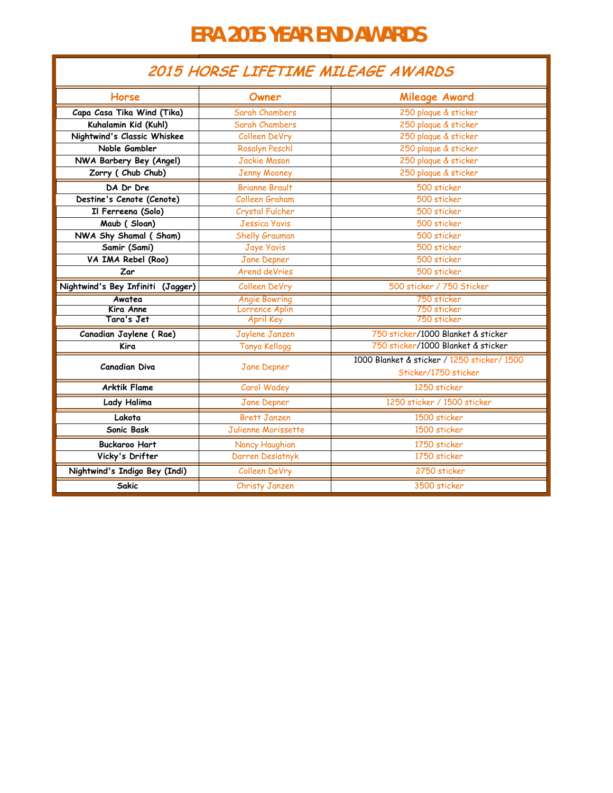## **ERA 2015 YEAR END AWARDS**

## **2015 HORSE LIFETIME MILEAGE AWARDS**

| Horse                             | Owner                 | Mileage Award                                                       |  |
|-----------------------------------|-----------------------|---------------------------------------------------------------------|--|
| Capa Casa Tika Wind (Tika)        | <b>Sarah Chambers</b> | 250 plaque & sticker                                                |  |
| Kuhalamin Kid (Kuhl)              | Sarah Chambers        | 250 plaque & sticker                                                |  |
| Nightwind's Classic Whiskee       | Colleen DeVry         | 250 plaque & sticker                                                |  |
| Noble Gambler                     | <b>Rosalyn Peschl</b> | 250 plaque & sticker                                                |  |
| NWA Barbery Bey (Angel)           | <b>Jackie Mason</b>   | 250 plaque & sticker                                                |  |
| Zorry (Chub Chub)                 | <b>Jenny Mooney</b>   | 250 plaque & sticker                                                |  |
| DA Dr Dre                         | <b>Brianne Brault</b> | 500 sticker                                                         |  |
| Destine's Cenote (Cenote)         | Colleen Graham        | 500 sticker                                                         |  |
| Il Ferreena (Solo)                | Crystal Fulcher       | 500 sticker                                                         |  |
| Maub (Sloan)                      | <b>Jessica Yavis</b>  | 500 sticker                                                         |  |
| NWA Shy Shamal (Sham)             | Shelly Grauman        | 500 sticker                                                         |  |
| Samir (Sami)                      | <b>Jaye Yavis</b>     | 500 sticker                                                         |  |
| VA IMA Rebel (Roo)                | Jane Depner           | 500 sticker                                                         |  |
| Zar                               | <b>Arend deVries</b>  | 500 sticker                                                         |  |
| Nightwind's Bey Infiniti (Jagger) | Colleen DeVry         | 500 sticker / 750 Sticker                                           |  |
| Awatea                            | <b>Angie Bowring</b>  | 750 sticker                                                         |  |
| Kira Anne                         | Lorrence Aplin        | 750 sticker                                                         |  |
| Tara's Jet                        | <b>April Key</b>      | 750 sticker                                                         |  |
| Canadian Jaylene (Rae)            | Jaylene Janzen        | 750 sticker/1000 Blanket & sticker                                  |  |
| Kira                              | <b>Tanya Kellogg</b>  | 750 sticker/1000 Blanket & sticker                                  |  |
| <b>Canadian Diva</b>              | Jane Depner           | 1000 Blanket & sticker / 1250 sticker/ 1500<br>Sticker/1750 sticker |  |
| <b>Arktik Flame</b>               | Carol Wadey           | 1250 sticker                                                        |  |
| Lady Halima                       | Jane Depner           | 1250 sticker / 1500 sticker                                         |  |
| Lakota                            | <b>Brett Janzen</b>   | 1500 sticker                                                        |  |
| Sonic Bask                        | Julienne Morissette   | 1500 sticker                                                        |  |
| <b>Buckaroo Hart</b>              | Nancy Haughian        | 1750 sticker                                                        |  |
| Vicky's Drifter                   | Darren Desiatnyk      | 1750 sticker                                                        |  |
| Nightwind's Indigo Bey (Indi)     | <b>Colleen DeVry</b>  | 2750 sticker                                                        |  |
| <b>Sakic</b>                      | Christy Janzen        | 3500 sticker                                                        |  |